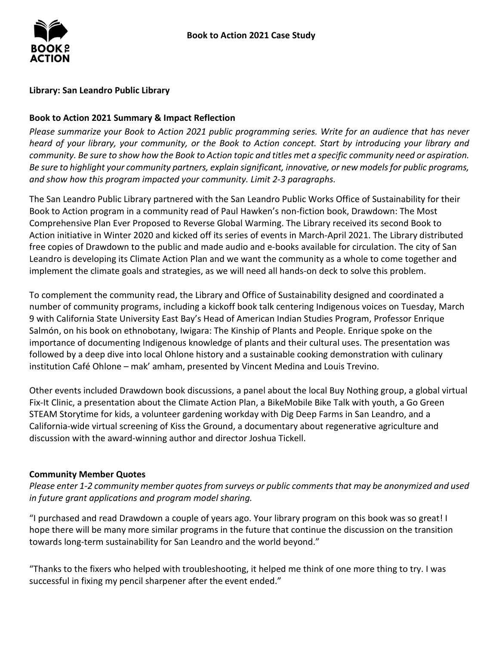## **Library: San Leandro Public Library**

## **Book to Action 2021 Summary & Impact Reflection**

*Please summarize your Book to Action 2021 public programming series. Write for an audience that has never heard of your library, your community, or the Book to Action concept. Start by introducing your library and community. Be sure to show how the Book to Action topic and titles met a specific community need or aspiration. Be sure to highlight your community partners, explain significant, innovative, or new models for public programs, and show how this program impacted your community. Limit 2-3 paragraphs.* 

 The San Leandro Public Library partnered with the San Leandro Public Works Office of Sustainability for their Book to Action program in a community read of Paul Hawken's non-fiction book, Drawdown: The Most Leandro is developing its Climate Action Plan and we want the community as a whole to come together and implement the climate goals and strategies, as we will need all hands-on deck to solve this problem. Comprehensive Plan Ever Proposed to Reverse Global Warming. The Library received its second Book to Action initiative in Winter 2020 and kicked off its series of events in March-April 2021. The Library distributed free copies of Drawdown to the public and made audio and e-books available for circulation. The city of San

 To complement the community read, the Library and Office of Sustainability designed and coordinated a Salmón, on his book on ethnobotany, Iwigara: The Kinship of Plants and People. Enrique spoke on the importance of documenting Indigenous knowledge of plants and their cultural uses. The presentation was number of community programs, including a kickoff book talk centering Indigenous voices on Tuesday, March 9 with California State University East Bay's Head of American Indian Studies Program, Professor Enrique followed by a deep dive into local Ohlone history and a sustainable cooking demonstration with culinary institution Café Ohlone – mak' amham, presented by Vincent Medina and Louis Trevino.

 Fix-It Clinic, a presentation about the Climate Action Plan, a BikeMobile Bike Talk with youth, a Go Green Other events included Drawdown book discussions, a panel about the local Buy Nothing group, a global virtual STEAM Storytime for kids, a volunteer gardening workday with Dig Deep Farms in San Leandro, and a California-wide virtual screening of Kiss the Ground, a documentary about regenerative agriculture and discussion with the award-winning author and director Joshua Tickell.

#### **Community Member Quotes**

*Please enter 1-2 community member quotes from surveys or public comments that may be anonymized and used in future grant applications and program model sharing.* 

 hope there will be many more similar programs in the future that continue the discussion on the transition "I purchased and read Drawdown a couple of years ago. Your library program on this book was so great! I towards long-term sustainability for San Leandro and the world beyond."

 "Thanks to the fixers who helped with troubleshooting, it helped me think of one more thing to try. I was successful in fixing my pencil sharpener after the event ended."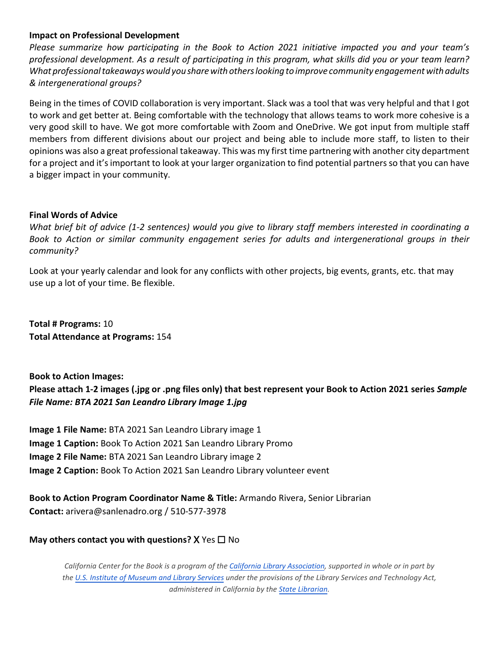### **Impact on Professional Development**

 *What professional takeaways would you share with others looking to improve community engagement with adults & intergenerational groups? Please summarize how participating in the Book to Action 2021 initiative impacted you and your team's professional development. As a result of participating in this program, what skills did you or your team learn?* 

 to work and get better at. Being comfortable with the technology that allows teams to work more cohesive is a very good skill to have. We got more comfortable with Zoom and OneDrive. We got input from multiple staff members from different divisions about our project and being able to include more staff, to listen to their opinions was also a great professional takeaway. This was my first time partnering with another city department for a project and it's important to look at your larger organization to find potential partners so that you can have Being in the times of COVID collaboration is very important. Slack was a tool that was very helpful and that I got a bigger impact in your community.

#### **Final Words of Advice**

*What brief bit of advice (1-2 sentences) would you give to library staff members interested in coordinating a Book to Action or similar community engagement series for adults and intergenerational groups in their community?* 

 Look at your yearly calendar and look for any conflicts with other projects, big events, grants, etc. that may use up a lot of your time. Be flexible.

 **Total # Programs:** 10 **Total Attendance at Programs:** 154

 *File Name: BTA 2021 San Leandro Library Image 1.jpg*  **Book to Action Images: Please attach 1-2 images (.jpg or .png files only) that best represent your Book to Action 2021 series** *Sample* 

**Image 1 File Name:** BTA 2021 San Leandro Library image 1 **Image 1 Caption:** Book To Action 2021 San Leandro Library Promo **Image 2 File Name:** BTA 2021 San Leandro Library image 2 **Image 2 Caption:** Book To Action 2021 San Leandro Library volunteer event

**Book to Action Program Coordinator Name & Title:** Armando Rivera, Senior Librarian **Contact:** arivera@sanlenadro.org / 510-577-3978

# **May others contact you with questions?** X Yes ☐ No

 *the [U.S. Institute of Museum and Library Services](http://www.imls.gov/) under the provisions of the Library Services and Technology Act, California Center for the Book is a program of th[e California Library Association,](http://www.cla-net.org/) supported in whole or in part by administered in California by the [State Librarian.](http://www.library.ca.gov/)*